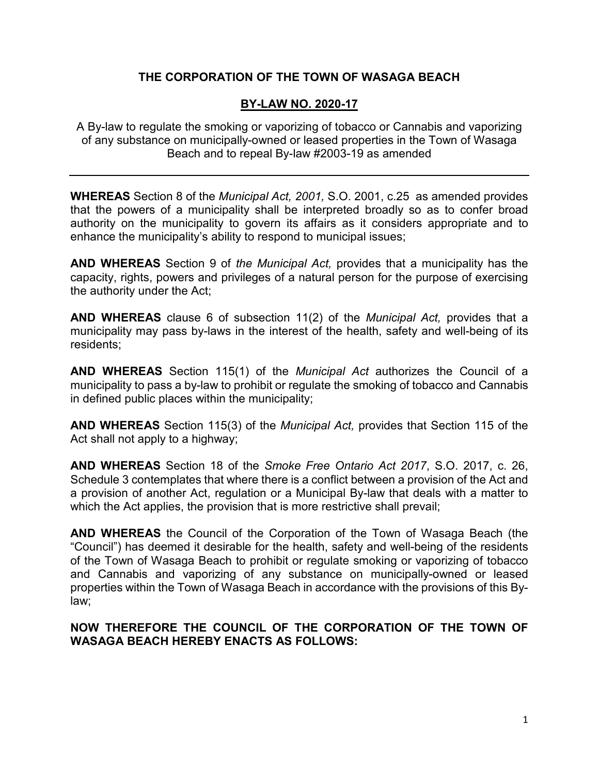# **THE CORPORATION OF THE TOWN OF WASAGA BEACH**

# **BY-LAW NO. 2020-17**

A By-law to regulate the smoking or vaporizing of tobacco or Cannabis and vaporizing of any substance on municipally-owned or leased properties in the Town of Wasaga Beach and to repeal By-law #2003-19 as amended

**WHEREAS** Section 8 of the *Municipal Act, 2001,* S.O. 2001, c.25 as amended provides that the powers of a municipality shall be interpreted broadly so as to confer broad authority on the municipality to govern its affairs as it considers appropriate and to enhance the municipality's ability to respond to municipal issues;

**AND WHEREAS** Section 9 of *the Municipal Act,* provides that a municipality has the capacity, rights, powers and privileges of a natural person for the purpose of exercising the authority under the Act;

**AND WHEREAS** clause 6 of subsection 11(2) of the *Municipal Act,* provides that a municipality may pass by-laws in the interest of the health, safety and well-being of its residents;

**AND WHEREAS** Section 115(1) of the *Municipal Act* authorizes the Council of a municipality to pass a by-law to prohibit or regulate the smoking of tobacco and Cannabis in defined public places within the municipality;

**AND WHEREAS** Section 115(3) of the *Municipal Act,* provides that Section 115 of the Act shall not apply to a highway;

**AND WHEREAS** Section 18 of the *Smoke Free Ontario Act 2017*, S.O. 2017, c. 26, Schedule 3 contemplates that where there is a conflict between a provision of the Act and a provision of another Act, regulation or a Municipal By-law that deals with a matter to which the Act applies, the provision that is more restrictive shall prevail;

**AND WHEREAS** the Council of the Corporation of the Town of Wasaga Beach (the "Council") has deemed it desirable for the health, safety and well-being of the residents of the Town of Wasaga Beach to prohibit or regulate smoking or vaporizing of tobacco and Cannabis and vaporizing of any substance on municipally-owned or leased properties within the Town of Wasaga Beach in accordance with the provisions of this Bylaw;

**NOW THEREFORE THE COUNCIL OF THE CORPORATION OF THE TOWN OF WASAGA BEACH HEREBY ENACTS AS FOLLOWS:**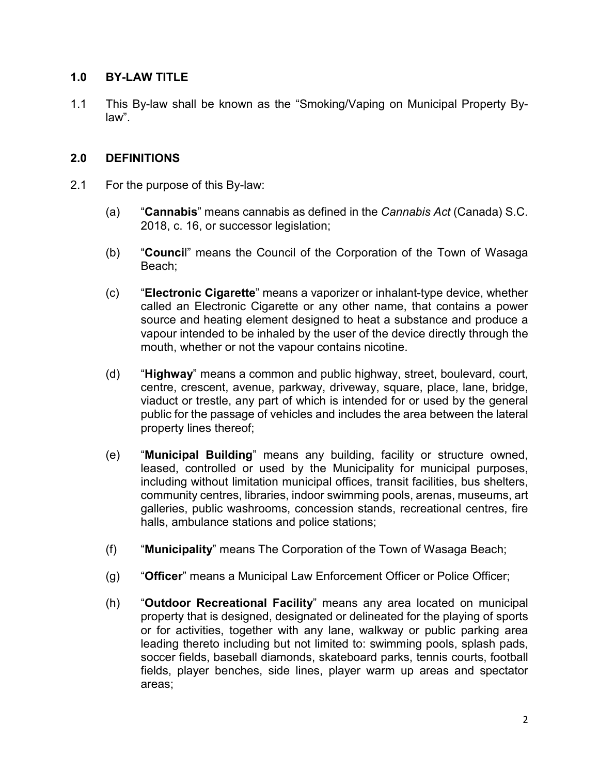## **1.0 BY-LAW TITLE**

1.1 This By-law shall be known as the "Smoking/Vaping on Municipal Property Bylaw".

## **2.0 DEFINITIONS**

- 2.1 For the purpose of this By-law:
	- (a) "**Cannabis**" means cannabis as defined in the *Cannabis Act* (Canada) S.C. 2018, c. 16, or successor legislation;
	- (b) "**Counci**l" means the Council of the Corporation of the Town of Wasaga Beach;
	- (c) "**Electronic Cigarette**" means a vaporizer or inhalant-type device, whether called an Electronic Cigarette or any other name, that contains a power source and heating element designed to heat a substance and produce a vapour intended to be inhaled by the user of the device directly through the mouth, whether or not the vapour contains nicotine.
	- (d) "**Highway**" means a common and public highway, street, boulevard, court, centre, crescent, avenue, parkway, driveway, square, place, lane, bridge, viaduct or trestle, any part of which is intended for or used by the general public for the passage of vehicles and includes the area between the lateral property lines thereof;
	- (e) "**Municipal Building**" means any building, facility or structure owned, leased, controlled or used by the Municipality for municipal purposes, including without limitation municipal offices, transit facilities, bus shelters, community centres, libraries, indoor swimming pools, arenas, museums, art galleries, public washrooms, concession stands, recreational centres, fire halls, ambulance stations and police stations;
	- (f) "**Municipality**" means The Corporation of the Town of Wasaga Beach;
	- (g) "**Officer**" means a Municipal Law Enforcement Officer or Police Officer;
	- (h) "**Outdoor Recreational Facility**" means any area located on municipal property that is designed, designated or delineated for the playing of sports or for activities, together with any lane, walkway or public parking area leading thereto including but not limited to: swimming pools, splash pads, soccer fields, baseball diamonds, skateboard parks, tennis courts, football fields, player benches, side lines, player warm up areas and spectator areas;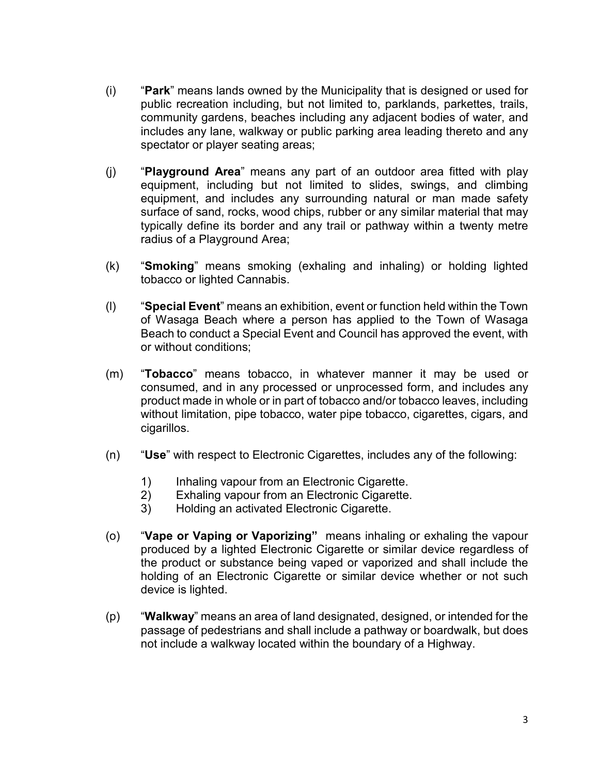- (i) "**Park**" means lands owned by the Municipality that is designed or used for public recreation including, but not limited to, parklands, parkettes, trails, community gardens, beaches including any adjacent bodies of water, and includes any lane, walkway or public parking area leading thereto and any spectator or player seating areas;
- (j) "**Playground Area**" means any part of an outdoor area fitted with play equipment, including but not limited to slides, swings, and climbing equipment, and includes any surrounding natural or man made safety surface of sand, rocks, wood chips, rubber or any similar material that may typically define its border and any trail or pathway within a twenty metre radius of a Playground Area;
- (k) "**Smoking**" means smoking (exhaling and inhaling) or holding lighted tobacco or lighted Cannabis.
- (l) "**Special Event**" means an exhibition, event or function held within the Town of Wasaga Beach where a person has applied to the Town of Wasaga Beach to conduct a Special Event and Council has approved the event, with or without conditions;
- (m) "**Tobacco**" means tobacco, in whatever manner it may be used or consumed, and in any processed or unprocessed form, and includes any product made in whole or in part of tobacco and/or tobacco leaves, including without limitation, pipe tobacco, water pipe tobacco, cigarettes, cigars, and cigarillos.
- (n) "**Use**" with respect to Electronic Cigarettes, includes any of the following:
	- 1) Inhaling vapour from an Electronic Cigarette.<br>2) Exhaling vapour from an Electronic Cigarette.
	- Exhaling vapour from an Electronic Cigarette.
	- 3) Holding an activated Electronic Cigarette.
- (o) "**Vape or Vaping or Vaporizing"** means inhaling or exhaling the vapour produced by a lighted Electronic Cigarette or similar device regardless of the product or substance being vaped or vaporized and shall include the holding of an Electronic Cigarette or similar device whether or not such device is lighted.
- (p) "**Walkway**" means an area of land designated, designed, or intended for the passage of pedestrians and shall include a pathway or boardwalk, but does not include a walkway located within the boundary of a Highway.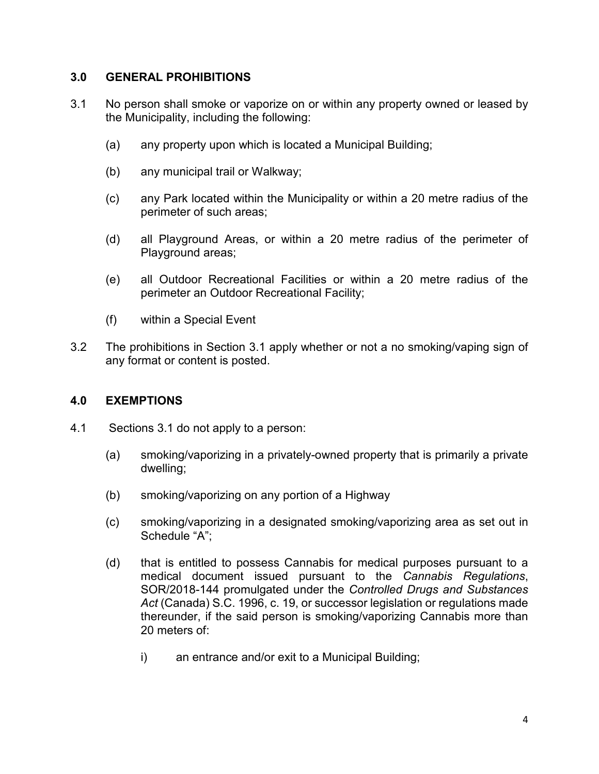## **3.0 GENERAL PROHIBITIONS**

- 3.1 No person shall smoke or vaporize on or within any property owned or leased by the Municipality, including the following:
	- (a) any property upon which is located a Municipal Building;
	- (b) any municipal trail or Walkway;
	- (c) any Park located within the Municipality or within a 20 metre radius of the perimeter of such areas;
	- (d) all Playground Areas, or within a 20 metre radius of the perimeter of Playground areas;
	- (e) all Outdoor Recreational Facilities or within a 20 metre radius of the perimeter an Outdoor Recreational Facility;
	- (f) within a Special Event
- 3.2 The prohibitions in Section 3.1 apply whether or not a no smoking/vaping sign of any format or content is posted.

#### **4.0 EXEMPTIONS**

- 4.1 Sections 3.1 do not apply to a person:
	- (a) smoking/vaporizing in a privately-owned property that is primarily a private dwelling;
	- (b) smoking/vaporizing on any portion of a Highway
	- (c) smoking/vaporizing in a designated smoking/vaporizing area as set out in Schedule "A";
	- (d) that is entitled to possess Cannabis for medical purposes pursuant to a medical document issued pursuant to the *Cannabis Regulations*, SOR/2018-144 promulgated under the *Controlled Drugs and Substances Act* (Canada) S.C. 1996, c. 19, or successor legislation or regulations made thereunder, if the said person is smoking/vaporizing Cannabis more than 20 meters of:
		- i) an entrance and/or exit to a Municipal Building;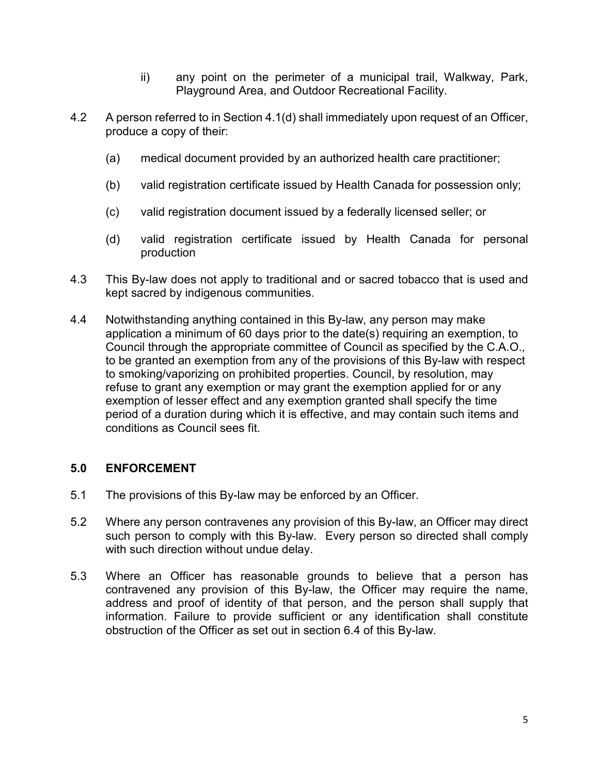- ii) any point on the perimeter of a municipal trail, Walkway, Park, Playground Area, and Outdoor Recreational Facility.
- 4.2 A person referred to in Section 4.1(d) shall immediately upon request of an Officer, produce a copy of their:
	- (a) medical document provided by an authorized health care practitioner;
	- (b) valid registration certificate issued by Health Canada for possession only;
	- (c) valid registration document issued by a federally licensed seller; or
	- (d) valid registration certificate issued by Health Canada for personal production
- 4.3 This By-law does not apply to traditional and or sacred tobacco that is used and kept sacred by indigenous communities.
- 4.4 Notwithstanding anything contained in this By-law, any person may make application a minimum of 60 days prior to the date(s) requiring an exemption, to Council through the appropriate committee of Council as specified by the C.A.O., to be granted an exemption from any of the provisions of this By-law with respect to smoking/vaporizing on prohibited properties. Council, by resolution, may refuse to grant any exemption or may grant the exemption applied for or any exemption of lesser effect and any exemption granted shall specify the time period of a duration during which it is effective, and may contain such items and conditions as Council sees fit.

# **5.0 ENFORCEMENT**

- 5.1 The provisions of this By-law may be enforced by an Officer.
- 5.2 Where any person contravenes any provision of this By-law, an Officer may direct such person to comply with this By-law. Every person so directed shall comply with such direction without undue delay.
- 5.3 Where an Officer has reasonable grounds to believe that a person has contravened any provision of this By-law, the Officer may require the name, address and proof of identity of that person, and the person shall supply that information. Failure to provide sufficient or any identification shall constitute obstruction of the Officer as set out in section 6.4 of this By-law.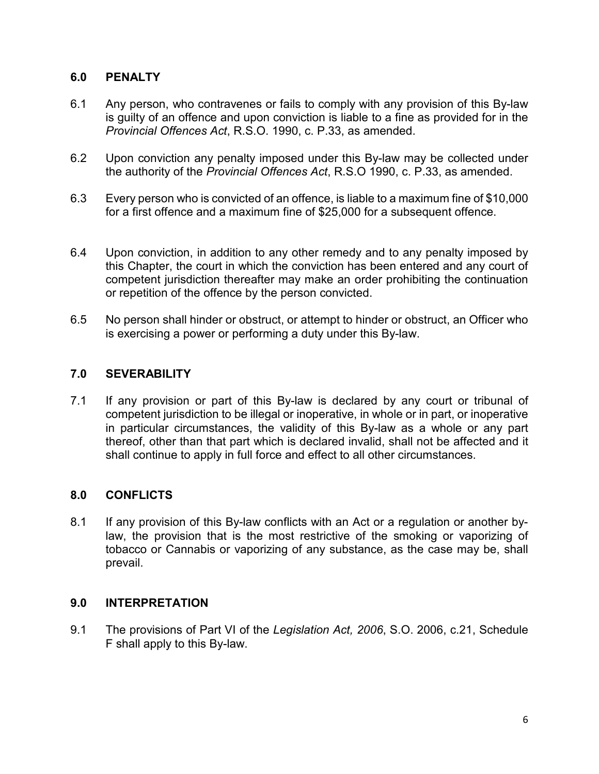# **6.0 PENALTY**

- 6.1 Any person, who contravenes or fails to comply with any provision of this By-law is guilty of an offence and upon conviction is liable to a fine as provided for in the *Provincial Offences Act*, R.S.O. 1990, c. P.33, as amended.
- 6.2 Upon conviction any penalty imposed under this By-law may be collected under the authority of the *Provincial Offences Act*, R.S.O 1990, c. P.33, as amended.
- 6.3 Every person who is convicted of an offence, is liable to a maximum fine of \$10,000 for a first offence and a maximum fine of \$25,000 for a subsequent offence.
- 6.4 Upon conviction, in addition to any other remedy and to any penalty imposed by this Chapter, the court in which the conviction has been entered and any court of competent jurisdiction thereafter may make an order prohibiting the continuation or repetition of the offence by the person convicted.
- 6.5 No person shall hinder or obstruct, or attempt to hinder or obstruct, an Officer who is exercising a power or performing a duty under this By-law.

## **7.0 SEVERABILITY**

7.1 If any provision or part of this By-law is declared by any court or tribunal of competent jurisdiction to be illegal or inoperative, in whole or in part, or inoperative in particular circumstances, the validity of this By-law as a whole or any part thereof, other than that part which is declared invalid, shall not be affected and it shall continue to apply in full force and effect to all other circumstances.

# **8.0 CONFLICTS**

8.1 If any provision of this By-law conflicts with an Act or a regulation or another bylaw, the provision that is the most restrictive of the smoking or vaporizing of tobacco or Cannabis or vaporizing of any substance, as the case may be, shall prevail.

#### **9.0 INTERPRETATION**

9.1 The provisions of Part VI of the *Legislation Act, 2006*, S.O. 2006, c.21, Schedule F shall apply to this By-law.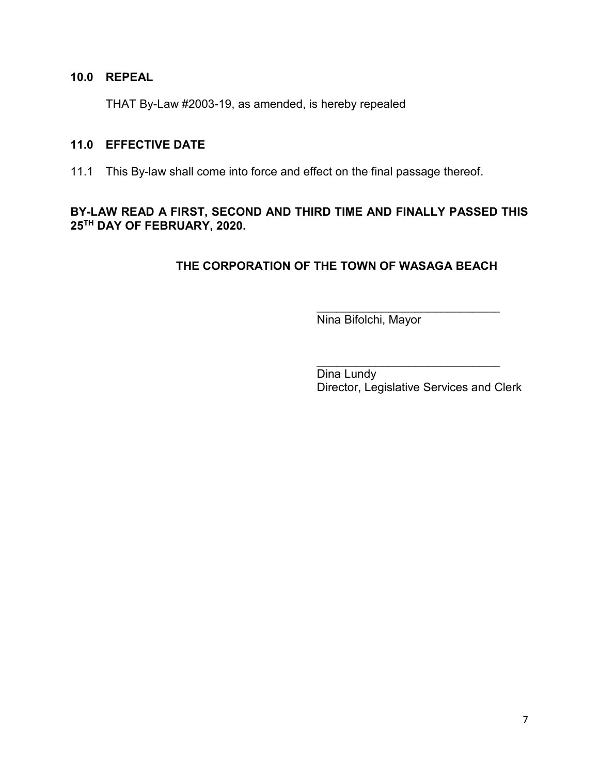## **10.0 REPEAL**

THAT By-Law #2003-19, as amended, is hereby repealed

#### **11.0 EFFECTIVE DATE**

11.1 This By-law shall come into force and effect on the final passage thereof.

# **BY-LAW READ A FIRST, SECOND AND THIRD TIME AND FINALLY PASSED THIS 25TH DAY OF FEBRUARY, 2020.**

# **THE CORPORATION OF THE TOWN OF WASAGA BEACH**

Nina Bifolchi, Mayor

\_\_\_\_\_\_\_\_\_\_\_\_\_\_\_\_\_\_\_\_\_\_\_\_\_\_\_\_ Dina Lundy Director, Legislative Services and Clerk

\_\_\_\_\_\_\_\_\_\_\_\_\_\_\_\_\_\_\_\_\_\_\_\_\_\_\_\_